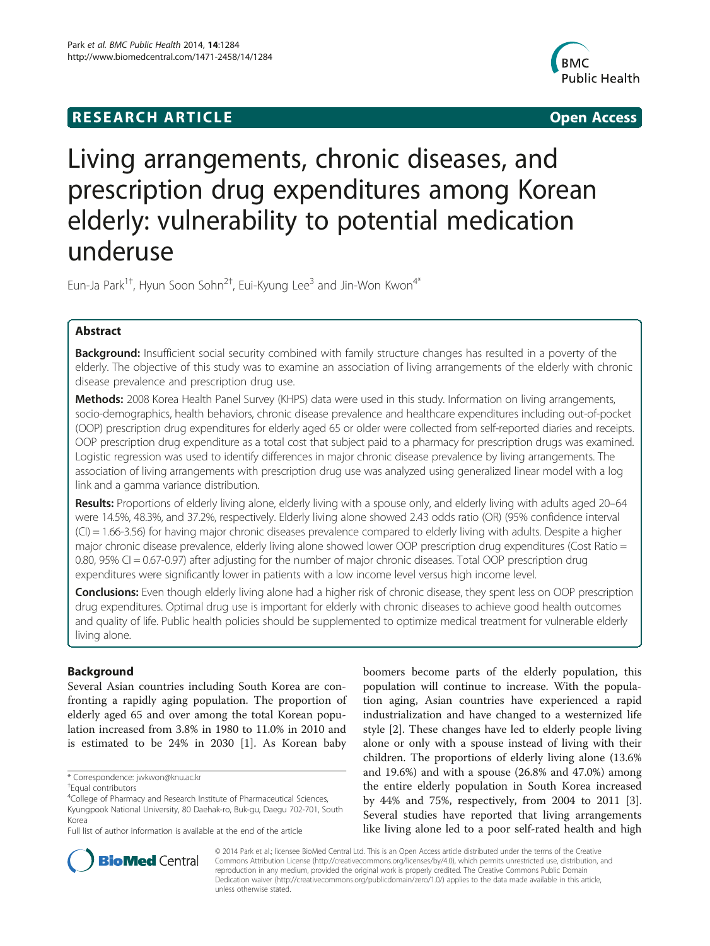## **RESEARCH ARTICLE Example 2014 CONSIDERING CONSIDERING CONSIDERING CONSIDERING CONSIDERING CONSIDERING CONSIDERING CONSIDERING CONSIDERING CONSIDERING CONSIDERING CONSIDERING CONSIDERING CONSIDERING CONSIDERING CONSIDE**



# Living arrangements, chronic diseases, and prescription drug expenditures among Korean elderly: vulnerability to potential medication underuse

Eun-Ja Park $^{1+}$ , Hyun Soon Sohn $^{2+}$ , Eui-Kyung Lee $^3$  and Jin-Won Kwon $^{4^\ast}$ 

## Abstract

Background: Insufficient social security combined with family structure changes has resulted in a poverty of the elderly. The objective of this study was to examine an association of living arrangements of the elderly with chronic disease prevalence and prescription drug use.

Methods: 2008 Korea Health Panel Survey (KHPS) data were used in this study. Information on living arrangements, socio-demographics, health behaviors, chronic disease prevalence and healthcare expenditures including out-of-pocket (OOP) prescription drug expenditures for elderly aged 65 or older were collected from self-reported diaries and receipts. OOP prescription drug expenditure as a total cost that subject paid to a pharmacy for prescription drugs was examined. Logistic regression was used to identify differences in major chronic disease prevalence by living arrangements. The association of living arrangements with prescription drug use was analyzed using generalized linear model with a log link and a gamma variance distribution.

Results: Proportions of elderly living alone, elderly living with a spouse only, and elderly living with adults aged 20–64 were 14.5%, 48.3%, and 37.2%, respectively. Elderly living alone showed 2.43 odds ratio (OR) (95% confidence interval (CI) = 1.66-3.56) for having major chronic diseases prevalence compared to elderly living with adults. Despite a higher major chronic disease prevalence, elderly living alone showed lower OOP prescription drug expenditures (Cost Ratio = 0.80, 95% CI = 0.67-0.97) after adjusting for the number of major chronic diseases. Total OOP prescription drug expenditures were significantly lower in patients with a low income level versus high income level.

**Conclusions:** Even though elderly living alone had a higher risk of chronic disease, they spent less on OOP prescription drug expenditures. Optimal drug use is important for elderly with chronic diseases to achieve good health outcomes and quality of life. Public health policies should be supplemented to optimize medical treatment for vulnerable elderly living alone.

## Background

Several Asian countries including South Korea are confronting a rapidly aging population. The proportion of elderly aged 65 and over among the total Korean population increased from 3.8% in 1980 to 11.0% in 2010 and is estimated to be 24% in 2030 [[1\]](#page-7-0). As Korean baby

boomers become parts of the elderly population, this population will continue to increase. With the population aging, Asian countries have experienced a rapid industrialization and have changed to a westernized life style [\[2](#page-7-0)]. These changes have led to elderly people living alone or only with a spouse instead of living with their children. The proportions of elderly living alone (13.6% and 19.6%) and with a spouse (26.8% and 47.0%) among the entire elderly population in South Korea increased by 44% and 75%, respectively, from 2004 to 2011 [\[3](#page-7-0)]. Several studies have reported that living arrangements like living alone led to a poor self-rated health and high



© 2014 Park et al.; licensee BioMed Central Ltd. This is an Open Access article distributed under the terms of the Creative Commons Attribution License [\(http://creativecommons.org/licenses/by/4.0\)](http://creativecommons.org/licenses/by/4.0), which permits unrestricted use, distribution, and reproduction in any medium, provided the original work is properly credited. The Creative Commons Public Domain Dedication waiver [\(http://creativecommons.org/publicdomain/zero/1.0/](http://creativecommons.org/publicdomain/zero/1.0/)) applies to the data made available in this article, unless otherwise stated.

<sup>\*</sup> Correspondence: [jwkwon@knu.ac.kr](mailto:jwkwon@knu.ac.kr) †

Equal contributors

<sup>&</sup>lt;sup>4</sup>College of Pharmacy and Research Institute of Pharmaceutical Sciences, Kyungpook National University, 80 Daehak-ro, Buk-gu, Daegu 702-701, South Korea

Full list of author information is available at the end of the article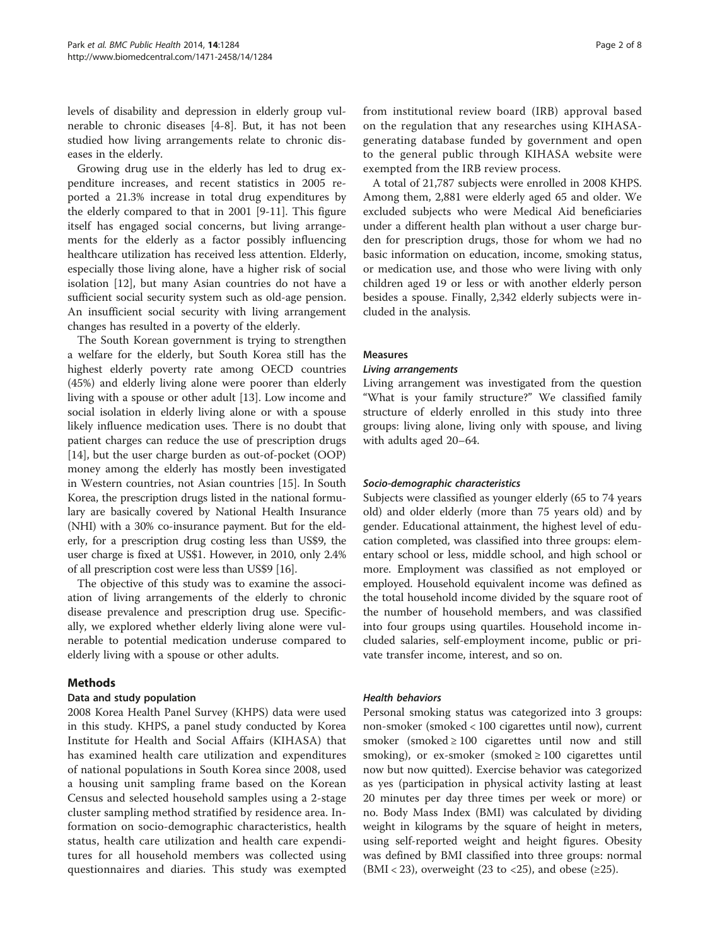levels of disability and depression in elderly group vulnerable to chronic diseases [[4-8](#page-7-0)]. But, it has not been studied how living arrangements relate to chronic diseases in the elderly.

Growing drug use in the elderly has led to drug expenditure increases, and recent statistics in 2005 reported a 21.3% increase in total drug expenditures by the elderly compared to that in 2001 [[9-11](#page-7-0)]. This figure itself has engaged social concerns, but living arrangements for the elderly as a factor possibly influencing healthcare utilization has received less attention. Elderly, especially those living alone, have a higher risk of social isolation [[12](#page-7-0)], but many Asian countries do not have a sufficient social security system such as old-age pension. An insufficient social security with living arrangement changes has resulted in a poverty of the elderly.

The South Korean government is trying to strengthen a welfare for the elderly, but South Korea still has the highest elderly poverty rate among OECD countries (45%) and elderly living alone were poorer than elderly living with a spouse or other adult [[13\]](#page-7-0). Low income and social isolation in elderly living alone or with a spouse likely influence medication uses. There is no doubt that patient charges can reduce the use of prescription drugs [[14\]](#page-7-0), but the user charge burden as out-of-pocket (OOP) money among the elderly has mostly been investigated in Western countries, not Asian countries [\[15](#page-7-0)]. In South Korea, the prescription drugs listed in the national formulary are basically covered by National Health Insurance (NHI) with a 30% co-insurance payment. But for the elderly, for a prescription drug costing less than US\$9, the user charge is fixed at US\$1. However, in 2010, only 2.4% of all prescription cost were less than US\$9 [\[16](#page-7-0)].

The objective of this study was to examine the association of living arrangements of the elderly to chronic disease prevalence and prescription drug use. Specifically, we explored whether elderly living alone were vulnerable to potential medication underuse compared to elderly living with a spouse or other adults.

## Methods

#### Data and study population

2008 Korea Health Panel Survey (KHPS) data were used in this study. KHPS, a panel study conducted by Korea Institute for Health and Social Affairs (KIHASA) that has examined health care utilization and expenditures of national populations in South Korea since 2008, used a housing unit sampling frame based on the Korean Census and selected household samples using a 2-stage cluster sampling method stratified by residence area. Information on socio-demographic characteristics, health status, health care utilization and health care expenditures for all household members was collected using questionnaires and diaries. This study was exempted

from institutional review board (IRB) approval based on the regulation that any researches using KIHASAgenerating database funded by government and open to the general public through KIHASA website were exempted from the IRB review process.

A total of 21,787 subjects were enrolled in 2008 KHPS. Among them, 2,881 were elderly aged 65 and older. We excluded subjects who were Medical Aid beneficiaries under a different health plan without a user charge burden for prescription drugs, those for whom we had no basic information on education, income, smoking status, or medication use, and those who were living with only children aged 19 or less or with another elderly person besides a spouse. Finally, 2,342 elderly subjects were included in the analysis.

#### Measures

#### Living arrangements

Living arrangement was investigated from the question "What is your family structure?" We classified family structure of elderly enrolled in this study into three groups: living alone, living only with spouse, and living with adults aged 20–64.

#### Socio-demographic characteristics

Subjects were classified as younger elderly (65 to 74 years old) and older elderly (more than 75 years old) and by gender. Educational attainment, the highest level of education completed, was classified into three groups: elementary school or less, middle school, and high school or more. Employment was classified as not employed or employed. Household equivalent income was defined as the total household income divided by the square root of the number of household members, and was classified into four groups using quartiles. Household income included salaries, self-employment income, public or private transfer income, interest, and so on.

#### Health behaviors

Personal smoking status was categorized into 3 groups: non-smoker (smoked < 100 cigarettes until now), current smoker (smoked  $\geq 100$  cigarettes until now and still smoking), or ex-smoker (smoked  $\geq 100$  cigarettes until now but now quitted). Exercise behavior was categorized as yes (participation in physical activity lasting at least 20 minutes per day three times per week or more) or no. Body Mass Index (BMI) was calculated by dividing weight in kilograms by the square of height in meters, using self-reported weight and height figures. Obesity was defined by BMI classified into three groups: normal  $(BMI < 23)$ , overweight (23 to <25), and obese ( $\geq 25$ ).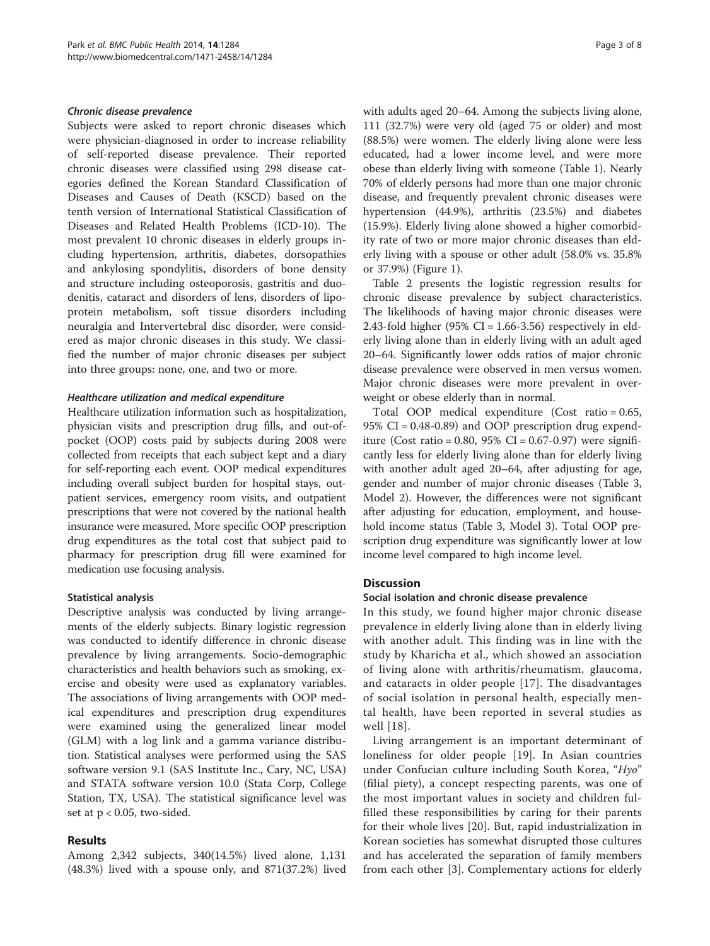#### Chronic disease prevalence

Subjects were asked to report chronic diseases which were physician-diagnosed in order to increase reliability of self-reported disease prevalence. Their reported chronic diseases were classified using 298 disease categories defined the Korean Standard Classification of Diseases and Causes of Death (KSCD) based on the tenth version of International Statistical Classification of Diseases and Related Health Problems (ICD-10). The most prevalent 10 chronic diseases in elderly groups including hypertension, arthritis, diabetes, dorsopathies and ankylosing spondylitis, disorders of bone density and structure including osteoporosis, gastritis and duodenitis, cataract and disorders of lens, disorders of lipoprotein metabolism, soft tissue disorders including neuralgia and Intervertebral disc disorder, were considered as major chronic diseases in this study. We classified the number of major chronic diseases per subject into three groups: none, one, and two or more.

### Healthcare utilization and medical expenditure

Healthcare utilization information such as hospitalization, physician visits and prescription drug fills, and out-ofpocket (OOP) costs paid by subjects during 2008 were collected from receipts that each subject kept and a diary for self-reporting each event. OOP medical expenditures including overall subject burden for hospital stays, outpatient services, emergency room visits, and outpatient prescriptions that were not covered by the national health insurance were measured. More specific OOP prescription drug expenditures as the total cost that subject paid to pharmacy for prescription drug fill were examined for medication use focusing analysis.

#### Statistical analysis

Descriptive analysis was conducted by living arrangements of the elderly subjects. Binary logistic regression was conducted to identify difference in chronic disease prevalence by living arrangements. Socio-demographic characteristics and health behaviors such as smoking, exercise and obesity were used as explanatory variables. The associations of living arrangements with OOP medical expenditures and prescription drug expenditures were examined using the generalized linear model (GLM) with a log link and a gamma variance distribution. Statistical analyses were performed using the SAS software version 9.1 (SAS Institute Inc., Cary, NC, USA) and STATA software version 10.0 (Stata Corp, College Station, TX, USA). The statistical significance level was set at  $p < 0.05$ , two-sided.

## Results

Among 2,342 subjects, 340(14.5%) lived alone, 1,131 (48.3%) lived with a spouse only, and 871(37.2%) lived

with adults aged 20–64. Among the subjects living alone, 111 (32.7%) were very old (aged 75 or older) and most (88.5%) were women. The elderly living alone were less educated, had a lower income level, and were more obese than elderly living with someone (Table [1](#page-3-0)). Nearly 70% of elderly persons had more than one major chronic disease, and frequently prevalent chronic diseases were hypertension (44.9%), arthritis (23.5%) and diabetes (15.9%). Elderly living alone showed a higher comorbidity rate of two or more major chronic diseases than elderly living with a spouse or other adult (58.0% vs. 35.8% or 37.9%) (Figure [1](#page-4-0)).

Table [2](#page-5-0) presents the logistic regression results for chronic disease prevalence by subject characteristics. The likelihoods of having major chronic diseases were 2.43-fold higher  $(95\% \text{ CI} = 1.66-3.56)$  respectively in elderly living alone than in elderly living with an adult aged 20–64. Significantly lower odds ratios of major chronic disease prevalence were observed in men versus women. Major chronic diseases were more prevalent in overweight or obese elderly than in normal.

Total OOP medical expenditure (Cost ratio = 0.65, 95% CI = 0.48-0.89) and OOP prescription drug expenditure (Cost ratio =  $0.80$ ,  $95\%$  CI =  $0.67-0.97$ ) were significantly less for elderly living alone than for elderly living with another adult aged 20–64, after adjusting for age, gender and number of major chronic diseases (Table [3](#page-6-0), Model 2). However, the differences were not significant after adjusting for education, employment, and household income status (Table [3,](#page-6-0) Model 3). Total OOP prescription drug expenditure was significantly lower at low income level compared to high income level.

## **Discussion**

#### Social isolation and chronic disease prevalence

In this study, we found higher major chronic disease prevalence in elderly living alone than in elderly living with another adult. This finding was in line with the study by Kharicha et al., which showed an association of living alone with arthritis/rheumatism, glaucoma, and cataracts in older people [\[17\]](#page-7-0). The disadvantages of social isolation in personal health, especially mental health, have been reported in several studies as well  $|18|$ .

Living arrangement is an important determinant of loneliness for older people [[19\]](#page-7-0). In Asian countries under Confucian culture including South Korea, "Hyo" (filial piety), a concept respecting parents, was one of the most important values in society and children fulfilled these responsibilities by caring for their parents for their whole lives [[20\]](#page-7-0). But, rapid industrialization in Korean societies has somewhat disrupted those cultures and has accelerated the separation of family members from each other [[3\]](#page-7-0). Complementary actions for elderly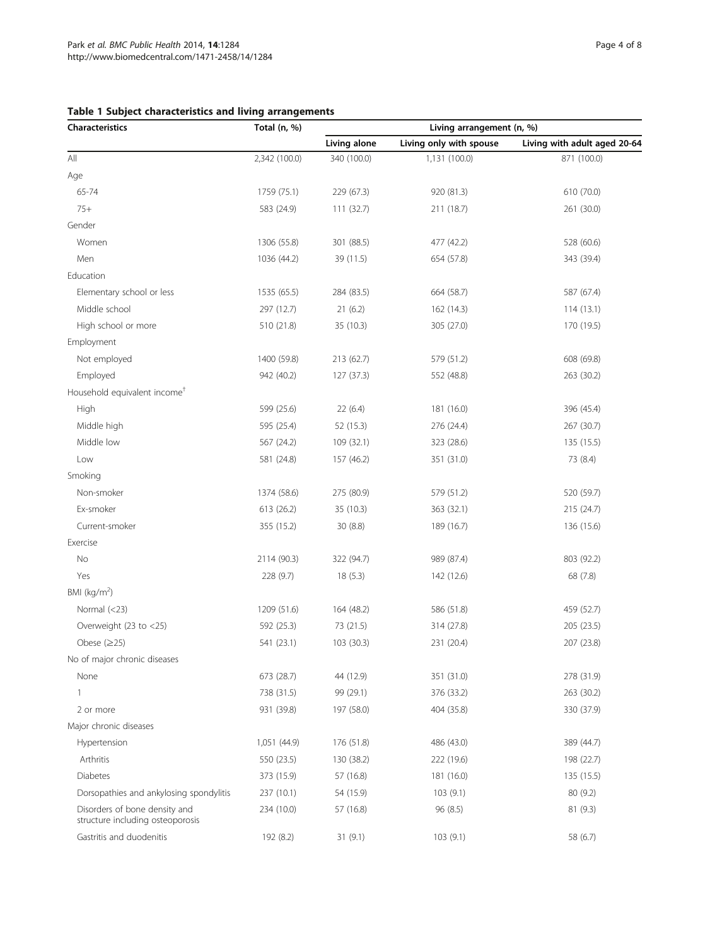## <span id="page-3-0"></span>Table 1 Subject characteristics and living arrangements

| <b>Characteristics</b>                                            | Total (n, %)  | Living arrangement (n, %) |                         |                              |  |  |
|-------------------------------------------------------------------|---------------|---------------------------|-------------------------|------------------------------|--|--|
|                                                                   |               | Living alone              | Living only with spouse | Living with adult aged 20-64 |  |  |
| $\mathsf{All}$                                                    | 2,342 (100.0) | 340 (100.0)               | 1,131 (100.0)           | 871 (100.0)                  |  |  |
| Age                                                               |               |                           |                         |                              |  |  |
| 65-74                                                             | 1759 (75.1)   | 229 (67.3)                | 920 (81.3)              | 610 (70.0)                   |  |  |
| $75+$                                                             | 583 (24.9)    | 111(32.7)                 | 211 (18.7)              | 261 (30.0)                   |  |  |
| Gender                                                            |               |                           |                         |                              |  |  |
| Women                                                             | 1306 (55.8)   | 301 (88.5)                | 477 (42.2)              | 528 (60.6)                   |  |  |
| Men                                                               | 1036 (44.2)   | 39 (11.5)                 | 654 (57.8)              | 343 (39.4)                   |  |  |
| Education                                                         |               |                           |                         |                              |  |  |
| Elementary school or less                                         | 1535 (65.5)   | 284 (83.5)                | 664 (58.7)              | 587 (67.4)                   |  |  |
| Middle school                                                     | 297 (12.7)    | 21(6.2)                   | 162 (14.3)              | 114(13.1)                    |  |  |
| High school or more                                               | 510 (21.8)    | 35 (10.3)                 | 305 (27.0)              | 170 (19.5)                   |  |  |
| Employment                                                        |               |                           |                         |                              |  |  |
| Not employed                                                      | 1400 (59.8)   | 213 (62.7)                | 579 (51.2)              | 608 (69.8)                   |  |  |
| Employed                                                          | 942 (40.2)    | 127 (37.3)                | 552 (48.8)              | 263 (30.2)                   |  |  |
| Household equivalent income <sup>+</sup>                          |               |                           |                         |                              |  |  |
| High                                                              | 599 (25.6)    | 22(6.4)                   | 181 (16.0)              | 396 (45.4)                   |  |  |
| Middle high                                                       | 595 (25.4)    | 52 (15.3)                 | 276 (24.4)              | 267 (30.7)                   |  |  |
| Middle low                                                        | 567 (24.2)    | 109 (32.1)                | 323 (28.6)              | 135 (15.5)                   |  |  |
| Low                                                               | 581 (24.8)    | 157 (46.2)                | 351 (31.0)              | 73 (8.4)                     |  |  |
| Smoking                                                           |               |                           |                         |                              |  |  |
| Non-smoker                                                        | 1374 (58.6)   | 275 (80.9)                | 579 (51.2)              | 520 (59.7)                   |  |  |
| Ex-smoker                                                         | 613 (26.2)    | 35 (10.3)                 | 363 (32.1)              | 215 (24.7)                   |  |  |
| Current-smoker                                                    | 355 (15.2)    | 30 (8.8)                  | 189 (16.7)              | 136 (15.6)                   |  |  |
| Exercise                                                          |               |                           |                         |                              |  |  |
| No                                                                | 2114 (90.3)   | 322 (94.7)                | 989 (87.4)              | 803 (92.2)                   |  |  |
| Yes                                                               | 228(9.7)      | 18(5.3)                   | 142 (12.6)              | 68 (7.8)                     |  |  |
| BMI ( $kg/m2$ )                                                   |               |                           |                         |                              |  |  |
| Normal $(<23)$                                                    | 1209 (51.6)   | 164 (48.2)                | 586 (51.8)              | 459 (52.7)                   |  |  |
| Overweight (23 to <25)                                            | 592 (25.3)    | 73 (21.5)                 | 314 (27.8)              | 205 (23.5)                   |  |  |
| Obese $(\geq 25)$                                                 | 541 (23.1)    | 103 (30.3)                | 231 (20.4)              | 207 (23.8)                   |  |  |
| No of major chronic diseases                                      |               |                           |                         |                              |  |  |
| None                                                              | 673 (28.7)    | 44 (12.9)                 | 351 (31.0)              | 278 (31.9)                   |  |  |
| 1                                                                 | 738 (31.5)    | 99 (29.1)                 | 376 (33.2)              | 263 (30.2)                   |  |  |
| 2 or more                                                         | 931 (39.8)    | 197 (58.0)                | 404 (35.8)              | 330 (37.9)                   |  |  |
| Major chronic diseases                                            |               |                           |                         |                              |  |  |
| Hypertension                                                      | 1,051 (44.9)  | 176 (51.8)                | 486 (43.0)              | 389 (44.7)                   |  |  |
| Arthritis                                                         | 550 (23.5)    | 130 (38.2)                | 222 (19.6)              | 198 (22.7)                   |  |  |
| Diabetes                                                          | 373 (15.9)    | 57 (16.8)                 | 181 (16.0)              | 135(15.5)                    |  |  |
| Dorsopathies and ankylosing spondylitis                           | 237 (10.1)    | 54 (15.9)                 | 103(9.1)                | 80 (9.2)                     |  |  |
| Disorders of bone density and<br>structure including osteoporosis | 234 (10.0)    | 57 (16.8)                 | 96(8.5)                 | 81 (9.3)                     |  |  |
| Gastritis and duodenitis                                          | 192 (8.2)     | 31(9.1)                   | 103(9.1)                | 58 (6.7)                     |  |  |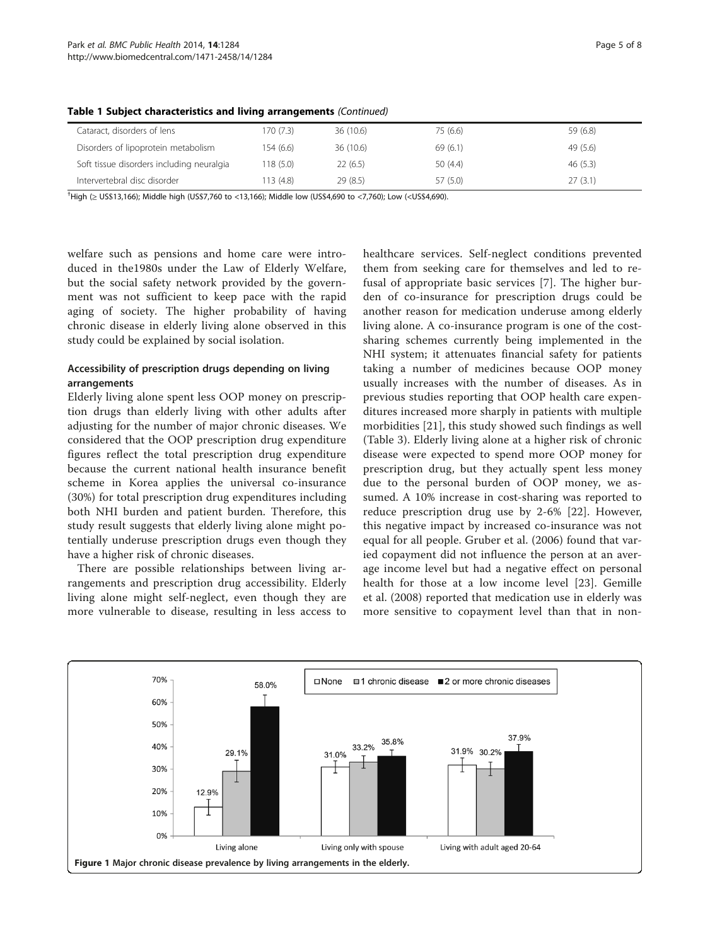| Cataract, disorders of lens               | 170 (7.3) | 36(10.6) | 75 (6.6) | 59 (6.8) |
|-------------------------------------------|-----------|----------|----------|----------|
| Disorders of lipoprotein metabolism       | 154(6.6)  | 36(10.6) | 69 (6.1) | 49(5.6)  |
| Soft tissue disorders including neuralgia | 118(5.0)  | 22(6.5)  | 50(4.4)  | 46(5.3)  |
| Intervertebral disc disorder              | 113 (4.8) | 29(8.5)  | 57 (5.0) | 27(3.1)  |

<span id="page-4-0"></span>Table 1 Subject characteristics and living arrangements (Continued)

† High (≥ US\$13,166); Middle high (US\$7,760 to <13,166); Middle low (US\$4,690 to <7,760); Low (<US\$4,690).

welfare such as pensions and home care were introduced in the1980s under the Law of Elderly Welfare, but the social safety network provided by the government was not sufficient to keep pace with the rapid aging of society. The higher probability of having chronic disease in elderly living alone observed in this study could be explained by social isolation.

## Accessibility of prescription drugs depending on living arrangements

Elderly living alone spent less OOP money on prescription drugs than elderly living with other adults after adjusting for the number of major chronic diseases. We considered that the OOP prescription drug expenditure figures reflect the total prescription drug expenditure because the current national health insurance benefit scheme in Korea applies the universal co-insurance (30%) for total prescription drug expenditures including both NHI burden and patient burden. Therefore, this study result suggests that elderly living alone might potentially underuse prescription drugs even though they have a higher risk of chronic diseases.

There are possible relationships between living arrangements and prescription drug accessibility. Elderly living alone might self-neglect, even though they are more vulnerable to disease, resulting in less access to healthcare services. Self-neglect conditions prevented them from seeking care for themselves and led to refusal of appropriate basic services [[7](#page-7-0)]. The higher burden of co-insurance for prescription drugs could be another reason for medication underuse among elderly living alone. A co-insurance program is one of the costsharing schemes currently being implemented in the NHI system; it attenuates financial safety for patients taking a number of medicines because OOP money usually increases with the number of diseases. As in previous studies reporting that OOP health care expenditures increased more sharply in patients with multiple morbidities [[21](#page-7-0)], this study showed such findings as well (Table [3\)](#page-6-0). Elderly living alone at a higher risk of chronic disease were expected to spend more OOP money for prescription drug, but they actually spent less money due to the personal burden of OOP money, we assumed. A 10% increase in cost-sharing was reported to reduce prescription drug use by 2-6% [\[22](#page-7-0)]. However, this negative impact by increased co-insurance was not equal for all people. Gruber et al. (2006) found that varied copayment did not influence the person at an average income level but had a negative effect on personal health for those at a low income level [\[23](#page-7-0)]. Gemille et al. (2008) reported that medication use in elderly was more sensitive to copayment level than that in non-

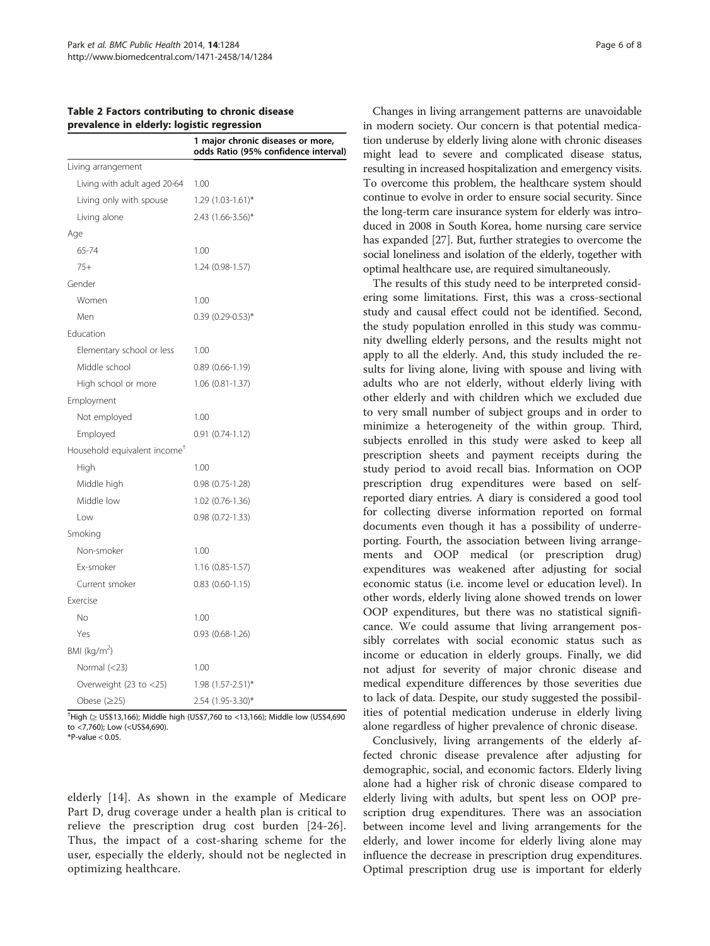<span id="page-5-0"></span>Table 2 Factors contributing to chronic disease prevalence in elderly: logistic regression

|                                          | 1 major chronic diseases or more,<br>odds Ratio (95% confidence interval) |
|------------------------------------------|---------------------------------------------------------------------------|
| Living arrangement                       |                                                                           |
| Living with adult aged 20-64             | 1.00                                                                      |
| Living only with spouse                  | $1.29$ (1.03-1.61)*                                                       |
| Living alone                             | 2.43 (1.66-3.56)*                                                         |
| Age                                      |                                                                           |
| 65-74                                    | 1.00                                                                      |
| $75+$                                    | $1.24(0.98-1.57)$                                                         |
| Gender                                   |                                                                           |
| Women                                    | 1.00                                                                      |
| Men                                      | $0.39$ (0.29-0.53)*                                                       |
| Education                                |                                                                           |
| Elementary school or less                | 1.00                                                                      |
| Middle school                            | $0.89$ $(0.66 - 1.19)$                                                    |
| High school or more                      | $1.06(0.81 - 1.37)$                                                       |
| Employment                               |                                                                           |
| Not employed                             | 1.00                                                                      |
| Employed                                 | $0.91(0.74-1.12)$                                                         |
| Household equivalent income <sup>T</sup> |                                                                           |
| High                                     | 1.00                                                                      |
| Middle high                              | $0.98$ $(0.75 - 1.28)$                                                    |
| Middle low                               | 1.02 (0.76-1.36)                                                          |
| Low                                      | $0.98(0.72 - 1.33)$                                                       |
| Smoking                                  |                                                                           |
| Non-smoker                               | 1.00                                                                      |
| Ex-smoker                                | $1.16(0.85-1.57)$                                                         |
| Current smoker                           | $0.83$ $(0.60 - 1.15)$                                                    |
| Exercise                                 |                                                                           |
| No                                       | 1.00                                                                      |
| Yes                                      | $0.93$ $(0.68 - 1.26)$                                                    |
| BMI ( $\text{kg/m}^2$ )                  |                                                                           |
| Normal $(<$ 23)                          | 1.00                                                                      |
| Overweight (23 to <25)                   | 1.98 (1.57-2.51)*                                                         |
| Obese $(\geq 25)$                        | 2.54 (1.95-3.30)*                                                         |

† High (≥ US\$13,166); Middle high (US\$7,760 to <13,166); Middle low (US\$4,690 to <7,760); Low (<US\$4,690).

 $*P$ -value < 0.05

elderly [[14](#page-7-0)]. As shown in the example of Medicare Part D, drug coverage under a health plan is critical to relieve the prescription drug cost burden [[24](#page-7-0)-[26](#page-7-0)]. Thus, the impact of a cost-sharing scheme for the user, especially the elderly, should not be neglected in optimizing healthcare.

Changes in living arrangement patterns are unavoidable in modern society. Our concern is that potential medication underuse by elderly living alone with chronic diseases might lead to severe and complicated disease status, resulting in increased hospitalization and emergency visits. To overcome this problem, the healthcare system should continue to evolve in order to ensure social security. Since the long-term care insurance system for elderly was introduced in 2008 in South Korea, home nursing care service has expanded [\[27](#page-7-0)]. But, further strategies to overcome the social loneliness and isolation of the elderly, together with optimal healthcare use, are required simultaneously.

The results of this study need to be interpreted considering some limitations. First, this was a cross-sectional study and causal effect could not be identified. Second, the study population enrolled in this study was community dwelling elderly persons, and the results might not apply to all the elderly. And, this study included the results for living alone, living with spouse and living with adults who are not elderly, without elderly living with other elderly and with children which we excluded due to very small number of subject groups and in order to minimize a heterogeneity of the within group. Third, subjects enrolled in this study were asked to keep all prescription sheets and payment receipts during the study period to avoid recall bias. Information on OOP prescription drug expenditures were based on selfreported diary entries. A diary is considered a good tool for collecting diverse information reported on formal documents even though it has a possibility of underreporting. Fourth, the association between living arrangements and OOP medical (or prescription drug) expenditures was weakened after adjusting for social economic status (i.e. income level or education level). In other words, elderly living alone showed trends on lower OOP expenditures, but there was no statistical significance. We could assume that living arrangement possibly correlates with social economic status such as income or education in elderly groups. Finally, we did not adjust for severity of major chronic disease and medical expenditure differences by those severities due to lack of data. Despite, our study suggested the possibilities of potential medication underuse in elderly living alone regardless of higher prevalence of chronic disease.

Conclusively, living arrangements of the elderly affected chronic disease prevalence after adjusting for demographic, social, and economic factors. Elderly living alone had a higher risk of chronic disease compared to elderly living with adults, but spent less on OOP prescription drug expenditures. There was an association between income level and living arrangements for the elderly, and lower income for elderly living alone may influence the decrease in prescription drug expenditures. Optimal prescription drug use is important for elderly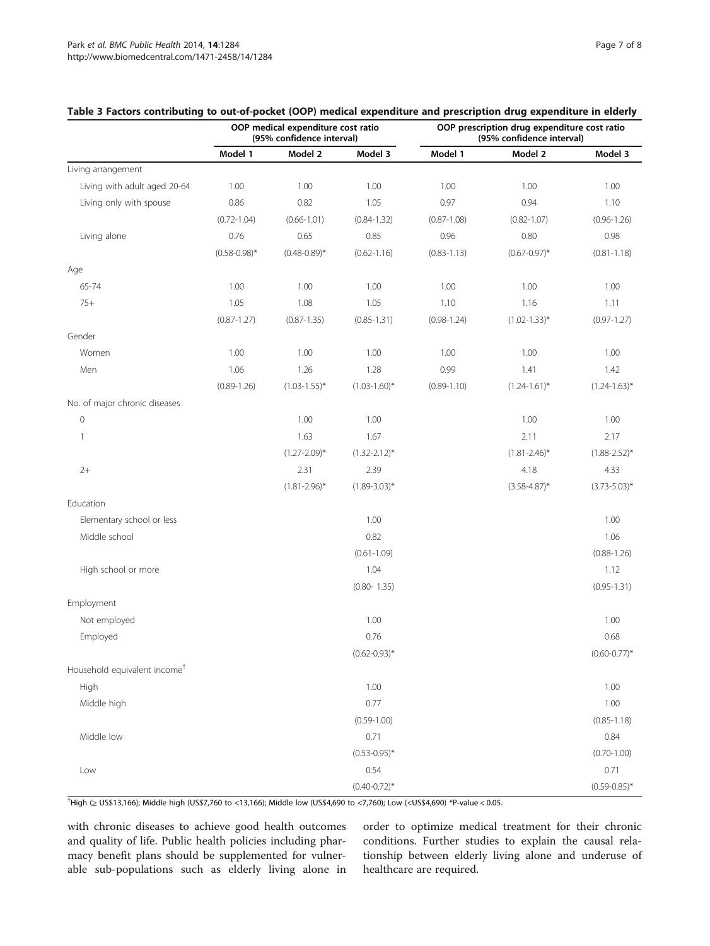|                                          | OOP medical expenditure cost ratio<br>(95% confidence interval) |                   |                   | OOP prescription drug expenditure cost ratio<br>(95% confidence interval) |                   |                   |  |
|------------------------------------------|-----------------------------------------------------------------|-------------------|-------------------|---------------------------------------------------------------------------|-------------------|-------------------|--|
|                                          | Model 1                                                         | Model 2           | Model 3           | Model 1                                                                   | Model 2           | Model 3           |  |
| Living arrangement                       |                                                                 |                   |                   |                                                                           |                   |                   |  |
| Living with adult aged 20-64             | 1.00                                                            | 1.00              | 1.00              | 1.00                                                                      | 1.00              | 1.00              |  |
| Living only with spouse                  | 0.86                                                            | 0.82              | 1.05              | 0.97                                                                      | 0.94              | 1.10              |  |
|                                          | $(0.72 - 1.04)$                                                 | $(0.66 - 1.01)$   | $(0.84 - 1.32)$   | $(0.87 - 1.08)$                                                           | $(0.82 - 1.07)$   | $(0.96 - 1.26)$   |  |
| Living alone                             | 0.76                                                            | 0.65              | 0.85              | 0.96                                                                      | 0.80              | 0.98              |  |
|                                          | $(0.58 - 0.98)^*$                                               | $(0.48 - 0.89)^*$ | $(0.62 - 1.16)$   | $(0.83 - 1.13)$                                                           | $(0.67 - 0.97)^*$ | $(0.81 - 1.18)$   |  |
| Age                                      |                                                                 |                   |                   |                                                                           |                   |                   |  |
| 65-74                                    | 1.00                                                            | 1.00              | 1.00              | 1.00                                                                      | 1.00              | 1.00              |  |
| $75+$                                    | 1.05                                                            | 1.08              | 1.05              | 1.10                                                                      | 1.16              | 1.11              |  |
|                                          | $(0.87 - 1.27)$                                                 | $(0.87 - 1.35)$   | $(0.85 - 1.31)$   | $(0.98 - 1.24)$                                                           | $(1.02 - 1.33)^*$ | $(0.97 - 1.27)$   |  |
| Gender                                   |                                                                 |                   |                   |                                                                           |                   |                   |  |
| Women                                    | 1.00                                                            | 1.00              | 1.00              | 1.00                                                                      | 1.00              | 1.00              |  |
| Men                                      | 1.06                                                            | 1.26              | 1.28              | 0.99                                                                      | 1.41              | 1.42              |  |
|                                          | $(0.89 - 1.26)$                                                 | $(1.03 - 1.55)^*$ | $(1.03 - 1.60)^*$ | $(0.89 - 1.10)$                                                           | $(1.24 - 1.61)^*$ | $(1.24 - 1.63)^*$ |  |
| No. of major chronic diseases            |                                                                 |                   |                   |                                                                           |                   |                   |  |
| $\mathbf 0$                              |                                                                 | 1.00              | 1.00              |                                                                           | 1.00              | 1.00              |  |
| $\mathbf{1}$                             |                                                                 | 1.63              | 1.67              |                                                                           | 2.11              | 2.17              |  |
|                                          |                                                                 | $(1.27 - 2.09)^*$ | $(1.32 - 2.12)^*$ |                                                                           | $(1.81 - 2.46)^*$ | $(1.88 - 2.52)^*$ |  |
| $2+$                                     |                                                                 | 2.31              | 2.39              |                                                                           | 4.18              | 4.33              |  |
|                                          |                                                                 | $(1.81 - 2.96)^*$ | $(1.89 - 3.03)^*$ |                                                                           | $(3.58 - 4.87)^*$ | $(3.73 - 5.03)^*$ |  |
| Education                                |                                                                 |                   |                   |                                                                           |                   |                   |  |
| Elementary school or less                |                                                                 |                   | 1.00              |                                                                           |                   | 1.00              |  |
| Middle school                            |                                                                 |                   | 0.82              |                                                                           |                   | 1.06              |  |
|                                          |                                                                 |                   | $(0.61 - 1.09)$   |                                                                           |                   | $(0.88 - 1.26)$   |  |
| High school or more                      |                                                                 |                   | 1.04              |                                                                           |                   | 1.12              |  |
|                                          |                                                                 |                   | $(0.80 - 1.35)$   |                                                                           |                   | $(0.95 - 1.31)$   |  |
| Employment                               |                                                                 |                   |                   |                                                                           |                   |                   |  |
| Not employed                             |                                                                 |                   | 1.00              |                                                                           |                   | 1.00              |  |
| Employed                                 |                                                                 |                   | 0.76              |                                                                           |                   | 0.68              |  |
|                                          |                                                                 |                   | $(0.62 - 0.93)^*$ |                                                                           |                   | $(0.60 - 0.77)^*$ |  |
| Household equivalent income <sup>+</sup> |                                                                 |                   |                   |                                                                           |                   |                   |  |
| High                                     |                                                                 |                   | 1.00              |                                                                           |                   | 1.00              |  |
| Middle high                              |                                                                 |                   | 0.77              |                                                                           |                   | 1.00              |  |
|                                          |                                                                 |                   | $(0.59 - 1.00)$   |                                                                           |                   | $(0.85 - 1.18)$   |  |
| Middle low                               |                                                                 |                   | 0.71              |                                                                           |                   | 0.84              |  |
|                                          |                                                                 |                   | $(0.53 - 0.95)^*$ |                                                                           |                   | $(0.70 - 1.00)$   |  |
| Low                                      |                                                                 |                   | 0.54              |                                                                           |                   | 0.71              |  |
|                                          |                                                                 |                   | $(0.40 - 0.72)$ * |                                                                           |                   | $(0.59 - 0.85)^*$ |  |

## <span id="page-6-0"></span>Table 3 Factors contributing to out-of-pocket (OOP) medical expenditure and prescription drug expenditure in elderly

† High (≥ US\$13,166); Middle high (US\$7,760 to <13,166); Middle low (US\$4,690 to <7,760); Low (<US\$4,690) \*P-value < 0.05.

with chronic diseases to achieve good health outcomes and quality of life. Public health policies including pharmacy benefit plans should be supplemented for vulnerable sub-populations such as elderly living alone in

order to optimize medical treatment for their chronic conditions. Further studies to explain the causal relationship between elderly living alone and underuse of healthcare are required.